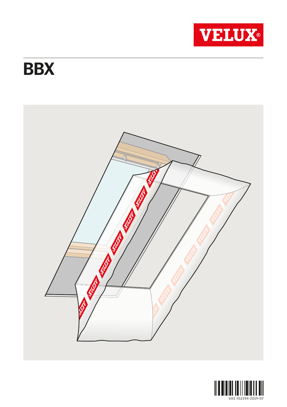

## **BBX**



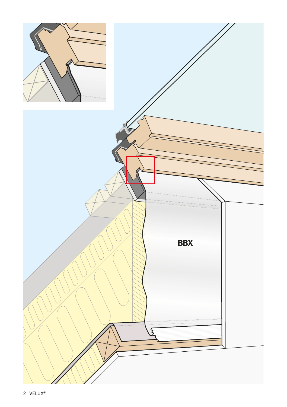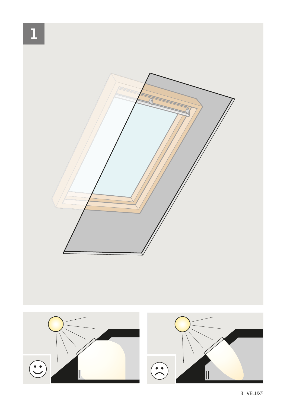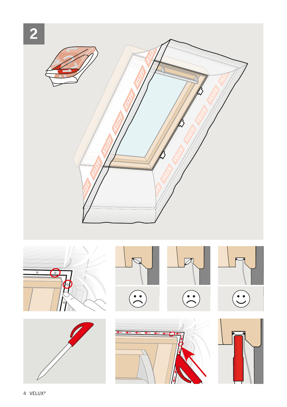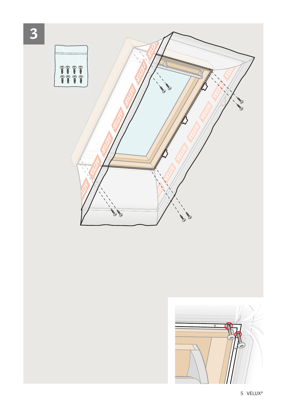

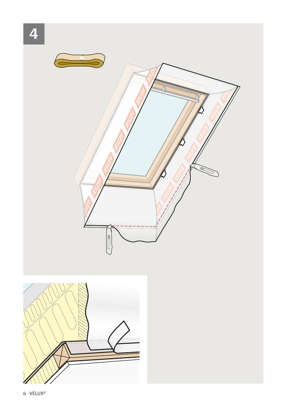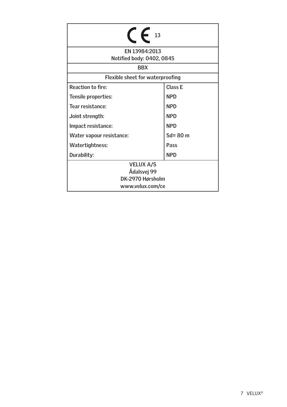| 13                                                  |             |
|-----------------------------------------------------|-------------|
| EN 13984:2013<br>Notified body: 0402, 0845          |             |
| <b>BBX</b>                                          |             |
| Flexible sheet for waterproofing                    |             |
| <b>Reaction to fire:</b>                            | Class E     |
| Tensile properties:                                 | <b>NPD</b>  |
| Tear resistance:                                    | <b>NPD</b>  |
| Joint strength:                                     | <b>NPD</b>  |
| Impact resistance:                                  | <b>NPD</b>  |
| Water vapour resistance:                            | $Sd = 80$ m |
| Watertightness:                                     | Pass        |
| Durability:                                         | <b>NPD</b>  |
| <b>VELUX A/S</b><br>Ådalsvej 99<br>DK-2970 Hørsholm |             |
| www.velux.com/ce                                    |             |